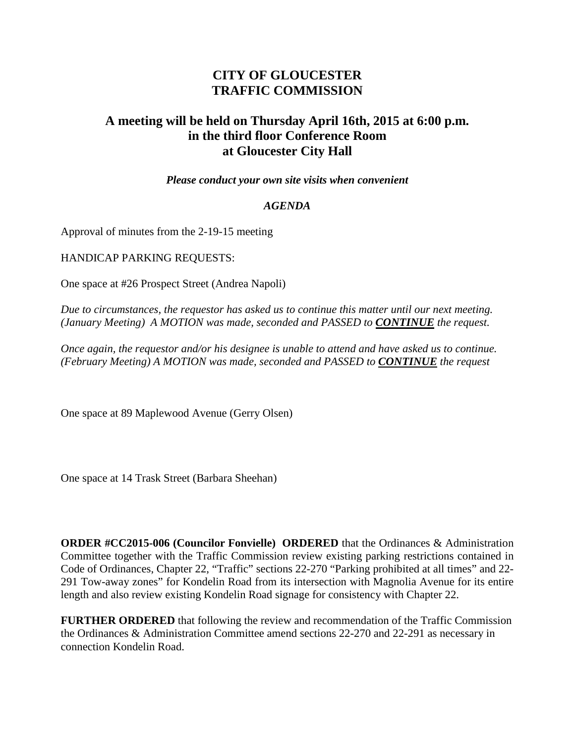## **CITY OF GLOUCESTER TRAFFIC COMMISSION**

## **A meeting will be held on Thursday April 16th, 2015 at 6:00 p.m. in the third floor Conference Room at Gloucester City Hall**

*Please conduct your own site visits when convenient*

## *AGENDA*

Approval of minutes from the 2-19-15 meeting

HANDICAP PARKING REQUESTS:

One space at #26 Prospect Street (Andrea Napoli)

*Due to circumstances, the requestor has asked us to continue this matter until our next meeting. (January Meeting) A MOTION was made, seconded and PASSED to CONTINUE the request.*

*Once again, the requestor and/or his designee is unable to attend and have asked us to continue. (February Meeting) A MOTION was made, seconded and PASSED to CONTINUE the request*

One space at 89 Maplewood Avenue (Gerry Olsen)

One space at 14 Trask Street (Barbara Sheehan)

**ORDER #CC2015-006 (Councilor Fonvielle) ORDERED** that the Ordinances & Administration Committee together with the Traffic Commission review existing parking restrictions contained in Code of Ordinances, Chapter 22, "Traffic" sections 22-270 "Parking prohibited at all times" and 22- 291 Tow-away zones" for Kondelin Road from its intersection with Magnolia Avenue for its entire length and also review existing Kondelin Road signage for consistency with Chapter 22.

**FURTHER ORDERED** that following the review and recommendation of the Traffic Commission the Ordinances & Administration Committee amend sections 22-270 and 22-291 as necessary in connection Kondelin Road.